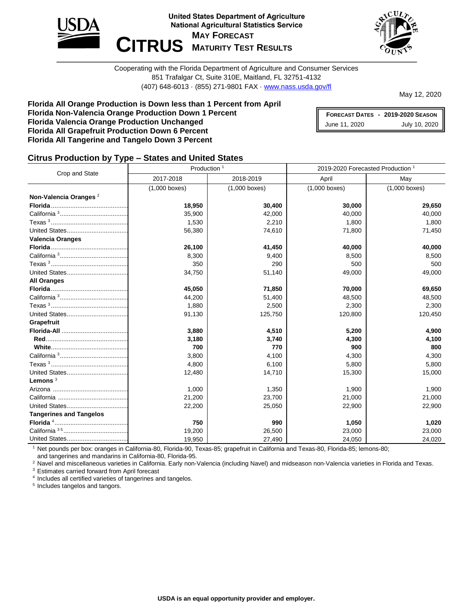



Cooperating with the Florida Department of Agriculture and Consumer Services 851 Trafalgar Ct, Suite 310E, Maitland, FL 32751-4132 (407) 648-6013 · (855) 271-9801 FAX · [www.nass.usda.gov/fl](http://www.nass.usda.gov/fl)

May 12, 2020

#### **Florida All Orange Production is Down less than 1 Percent from April Florida Non-Valencia Orange Production Down 1 Percent Florida Valencia Orange Production Unchanged Florida All Grapefruit Production Down 6 Percent Florida All Tangerine and Tangelo Down 3 Percent**

**FORECAST DATES - 2019-2020 SEASON** June 11, 2020 July 10, 2020

### **Citrus Production by Type – States and United States**

| Crop and State                    | Production <sup>1</sup> |                 | 2019-2020 Forecasted Production <sup>1</sup> |                 |  |  |
|-----------------------------------|-------------------------|-----------------|----------------------------------------------|-----------------|--|--|
|                                   | 2017-2018               | 2018-2019       | April                                        | May             |  |  |
|                                   | $(1,000$ boxes)         | $(1,000$ boxes) | $(1,000$ boxes)                              | $(1,000$ boxes) |  |  |
| Non-Valencia Oranges <sup>2</sup> |                         |                 |                                              |                 |  |  |
|                                   | 18,950                  | 30,400          | 30,000                                       | 29,650          |  |  |
|                                   | 35,900                  | 42,000          | 40,000                                       | 40,000          |  |  |
|                                   | 1,530                   | 2,210           | 1,800                                        | 1,800           |  |  |
|                                   | 56,380                  | 74,610          | 71,800                                       | 71,450          |  |  |
| <b>Valencia Oranges</b>           |                         |                 |                                              |                 |  |  |
|                                   | 26,100                  | 41,450          | 40,000                                       | 40,000          |  |  |
|                                   | 8,300                   | 9,400           | 8,500                                        | 8,500           |  |  |
|                                   | 350                     | 290             | 500                                          | 500             |  |  |
|                                   | 34,750                  | 51,140          | 49,000                                       | 49,000          |  |  |
| <b>All Oranges</b>                |                         |                 |                                              |                 |  |  |
|                                   | 45,050                  | 71,850          | 70,000                                       | 69,650          |  |  |
|                                   | 44,200                  | 51,400          | 48,500                                       | 48,500          |  |  |
|                                   | 1,880                   | 2,500           | 2,300                                        | 2,300           |  |  |
|                                   | 91,130                  | 125,750         | 120,800                                      | 120,450         |  |  |
| Grapefruit                        |                         |                 |                                              |                 |  |  |
|                                   | 3,880                   | 4,510           | 5,200                                        | 4,900           |  |  |
|                                   | 3,180                   | 3,740           | 4,300                                        | 4,100           |  |  |
|                                   | 700                     | 770             | 900                                          | 800             |  |  |
|                                   | 3,800                   | 4,100           | 4,300                                        | 4,300           |  |  |
|                                   | 4,800                   | 6,100           | 5,800                                        | 5,800           |  |  |
|                                   | 12,480                  | 14,710          | 15,300                                       | 15,000          |  |  |
| Lemons $3$                        |                         |                 |                                              |                 |  |  |
|                                   | 1,000                   | 1,350           | 1,900                                        | 1,900           |  |  |
|                                   | 21,200                  | 23,700          | 21,000                                       | 21,000          |  |  |
|                                   | 22,200                  | 25,050          | 22,900                                       | 22,900          |  |  |
| <b>Tangerines and Tangelos</b>    |                         |                 |                                              |                 |  |  |
|                                   | 750                     | 990             | 1,050                                        | 1,020           |  |  |
|                                   | 19,200                  | 26,500          | 23,000                                       | 23,000          |  |  |
|                                   | 19,950                  | 27,490          | 24,050                                       | 24,020          |  |  |

<sup>1</sup> Net pounds per box: oranges in California-80, Florida-90, Texas-85; grapefruit in California and Texas-80, Florida-85; lemons-80; and tangerines and mandarins in California-80, Florida-95.

<sup>2</sup> Navel and miscellaneous varieties in California. Early non-Valencia (including Navel) and midseason non-Valencia varieties in Florida and Texas.

<sup>3</sup> Estimates carried forward from April forecast

4 Includes all certified varieties of tangerines and tangelos.

5 Includes tangelos and tangors.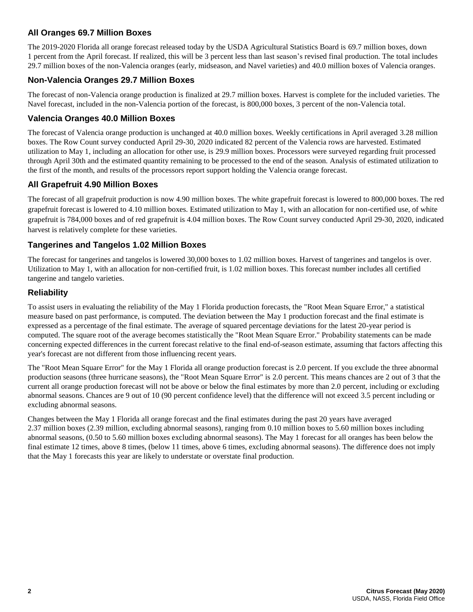## **All Oranges 69.7 Million Boxes**

The 2019-2020 Florida all orange forecast released today by the USDA Agricultural Statistics Board is 69.7 million boxes, down 1 percent from the April forecast. If realized, this will be 3 percent less than last season's revised final production. The total includes 29.7 million boxes of the non-Valencia oranges (early, midseason, and Navel varieties) and 40.0 million boxes of Valencia oranges.

### **Non-Valencia Oranges 29.7 Million Boxes**

The forecast of non-Valencia orange production is finalized at 29.7 million boxes. Harvest is complete for the included varieties. The Navel forecast, included in the non-Valencia portion of the forecast, is 800,000 boxes, 3 percent of the non-Valencia total.

#### **Valencia Oranges 40.0 Million Boxes**

The forecast of Valencia orange production is unchanged at 40.0 million boxes. Weekly certifications in April averaged 3.28 million boxes. The Row Count survey conducted April 29-30, 2020 indicated 82 percent of the Valencia rows are harvested. Estimated utilization to May 1, including an allocation for other use, is 29.9 million boxes. Processors were surveyed regarding fruit processed through April 30th and the estimated quantity remaining to be processed to the end of the season. Analysis of estimated utilization to the first of the month, and results of the processors report support holding the Valencia orange forecast.

#### **All Grapefruit 4.90 Million Boxes**

The forecast of all grapefruit production is now 4.90 million boxes. The white grapefruit forecast is lowered to 800,000 boxes. The red grapefruit forecast is lowered to 4.10 million boxes. Estimated utilization to May 1, with an allocation for non-certified use, of white grapefruit is 784,000 boxes and of red grapefruit is 4.04 million boxes. The Row Count survey conducted April 29-30, 2020, indicated harvest is relatively complete for these varieties.

#### **Tangerines and Tangelos 1.02 Million Boxes**

The forecast for tangerines and tangelos is lowered 30,000 boxes to 1.02 million boxes. Harvest of tangerines and tangelos is over. Utilization to May 1, with an allocation for non-certified fruit, is 1.02 million boxes. This forecast number includes all certified tangerine and tangelo varieties.

#### **Reliability**

To assist users in evaluating the reliability of the May 1 Florida production forecasts, the "Root Mean Square Error," a statistical measure based on past performance, is computed. The deviation between the May 1 production forecast and the final estimate is expressed as a percentage of the final estimate. The average of squared percentage deviations for the latest 20-year period is computed. The square root of the average becomes statistically the "Root Mean Square Error." Probability statements can be made concerning expected differences in the current forecast relative to the final end-of-season estimate, assuming that factors affecting this year's forecast are not different from those influencing recent years.

The "Root Mean Square Error" for the May 1 Florida all orange production forecast is 2.0 percent. If you exclude the three abnormal production seasons (three hurricane seasons), the "Root Mean Square Error" is 2.0 percent. This means chances are 2 out of 3 that the current all orange production forecast will not be above or below the final estimates by more than 2.0 percent, including or excluding abnormal seasons. Chances are 9 out of 10 (90 percent confidence level) that the difference will not exceed 3.5 percent including or excluding abnormal seasons.

Changes between the May 1 Florida all orange forecast and the final estimates during the past 20 years have averaged 2.37 million boxes (2.39 million, excluding abnormal seasons), ranging from 0.10 million boxes to 5.60 million boxes including abnormal seasons, (0.50 to 5.60 million boxes excluding abnormal seasons). The May 1 forecast for all oranges has been below the final estimate 12 times, above 8 times, (below 11 times, above 6 times, excluding abnormal seasons). The difference does not imply that the May 1 forecasts this year are likely to understate or overstate final production.